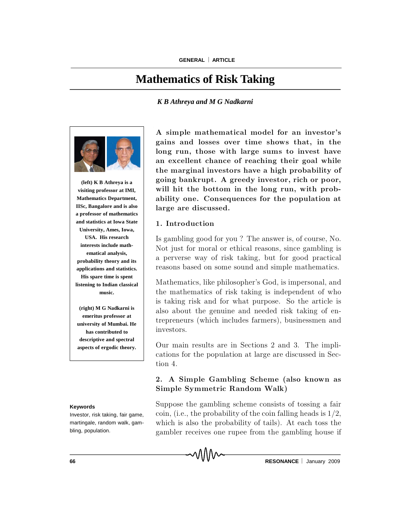# **Mathematics of Risk Taking**

### *K B Athreya and M G Nadkarni*



**(left) K B Athreya is a visiting professor at IMI, Mathematics Department, IISc, Bangalore and is also a professor of mathematics and statistics at Iowa State University, Ames, Iowa, USA. His research interests include mathematical analysis, probability theory and its applications and statistics. His spare time is spent listening to Indian classical music.**

**(right) M G Nadkarni is emeritus professor at university of Mumbai. He has contributed to descriptive and spectral aspects of ergodic theory.**

#### **Keywords**

Investor, risk taking, fair game, martingale, random walk, gambling, population.

A simple mathematical model for an investor's gains and losses over time shows that, in the long run, those with large sums to invest have an excellent chance of reaching their goal while the marginal investors have a high probability of going bankrupt. A greedy investor, rich or poor, will hit the bottom in the long run, with probability one. Consequences for the population at large are discussed.

### 1. Introduction

Is gambling good for you? The answer is, of course, No. Not just for moral or ethical reasons, since gambling is a perverse way of risk taking, but for good practical reasons based on some sound and simple mathematics.

Mathematics, like philosopher's God, is impersonal, and the mathematics of risk taking is independent of who is taking risk and for what purpose. So the article is also about the genuine and needed risk taking of entrepreneurs (which includes farmers), businessmen and investors.

Our main results are in Sections 2 and 3. The implications for the population at large are discussed in Section 4.

## 2. A Simple Gambling Scheme (also known as Simple Symmetric Random Walk)

Suppose the gambling scheme consists of tossing a fair coin, (i.e., the probability of the coin falling heads is  $1/2$ , which is also the probability of tails). At each toss the gam bler receives one rup ee from the gam bling house if

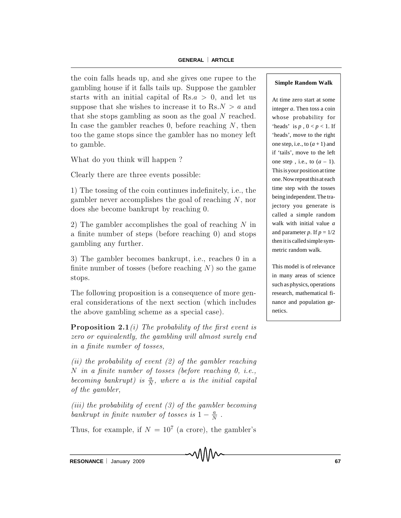the coin falls heads up, and she gives one rupee to the gambling house if it falls tails up. Suppose the gambler starts with an initial capital of Rs.a  $> 0$ , and let us suppose that she wishes to increase it to  $\text{Rs.} N > a$  and that she stops gambling as soon as the goal  $N$  reached. In case the gambler reaches 0, before reaching  $N$ , then too the game stops since the gambler has no money left to gamble.

What do you think will happen?

Clearly there are three events possible:

1) The tossing of the coin continues indefinitely, i.e., the gambler never accomplishes the goal of reaching  $N$ , nor does she become bankrupt by reaching 0.

2) The gambler accomplishes the goal of reaching  $N$  in a finite number of steps (before reaching  $0$ ) and stops gambling any further.

3) The gambler becomes bankrupt, i.e., reaches 0 in a finite number of tosses (before reaching  $N$ ) so the game stops.

The following proposition is a consequence of more general considerations of the next section (which includes the above gambling scheme as a special case).

**Proposition 2.1** (i) The probability of the first event is zero or equivalently, the gambling will almost surely end in a finite number of tosses.

(ii) the probability of event  $(2)$  of the gambler reaching N in a finite number of tosses (before reaching  $\theta$ , i.e., becoming bankrupt) is  $\frac{a}{b}$  $\frac{a}{N}$ , where a is the initial capital of the gambler,

(iii) the probability of event  $(3)$  of the gambler becoming bankrupt in finite number of tosses is  $1 - \frac{a}{N}$  $\frac{a}{N}$ .

Thus, for example, if  $N = 10^7$  (a crore), the gambler's

### **Simple Random Walk**

At time zero start at some integer *a*. Then toss a coin whose probability for 'heads' is  $p, 0 < p < 1$ . If 'heads', move to the right one step, i.e., to  $(a + 1)$  and if 'tails', move to the left one step, i.e., to  $(a - 1)$ . This isyour position at time one. Nowrepeat thisat each time step with the tosses being independent.The trajectory you generate is called a simple random walk with initial value *a* and parameter *p*. If  $p = 1/2$ then itis called simple symmetric random walk.

This model is of relevance in many areas of science such as physics, operations research, mathematical finance and population genetics.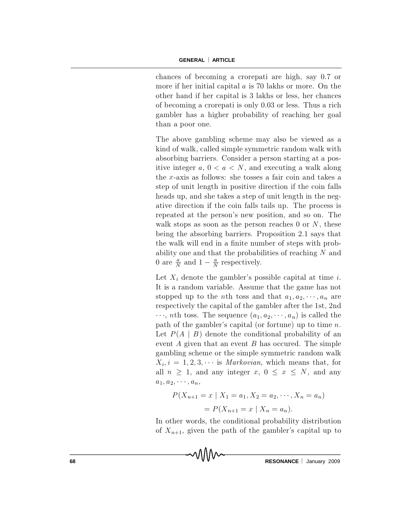chances of becoming a crorepati are high, say 0.7 or more if her initial capital  $a$  is 70 lakhs or more. On the other hand if her capital is 3 lakhs or less, her chances of becoming a crorepati is only  $0.03$  or less. Thus a rich gam bler has a higher probability of reaching her goal than a poor one.

The above gambling scheme may also be viewed as a kind of walk, called simple symmetric random walk with absorbing barriers. Consider a person starting at a positive integer  $a, 0 < a < N$ , and executing a walk along the x-axis as follows: she tosses a fair coin and takes a step of unit length in positive direction if the coin falls heads up, and she takes a step of unit length in the negative direction if the coin falls tails up. The process is repeated at the person's new position, and so on. The walk stops as soon as the person reaches 0 or  $N$ , these being the absorbing barriers. Proposition 2.1 says that the walk will end in a finite number of steps with probability one and that the probabilities of reaching N and 0 are  $\frac{a}{\lambda}$  $\frac{a}{N}$  and  $1-\frac{a}{N}$  $\frac{a}{N}$  respectively.

Let  $X_i$  denote the gambler's possible capital at time i. It is a random variable. Assume that the game has not stopped up to the *n*th toss and that  $a_1, a_2, \dots, a_n$  are respectively the capital of the gambler after the 1st, 2nd  $\cdots$ , *n*th toss. The sequence  $(a_1, a_2, \cdots, a_n)$  is called the path of the gambler's capital (or fortune) up to time  $n$ . Let  $P(A | B)$  denote the conditional probability of an event  $A$  given that an event  $B$  has occured. The simple gambling scheme or the simple symmetric random walk  $X_i, i = 1,2,3,\cdots$  is *Markovian*, which means that, for all  $n \geq 1$ , and any integer  $x, 0 \leq x \leq N$ , and any  $a_1, a_2, \cdots, a_n,$ 

$$
P(X_{n+1} = x \mid X_1 = a_1, X_2 = a_2, \cdots, X_n = a_n)
$$
  
= 
$$
P(X_{n+1} = x \mid X_n = a_n).
$$

In other words, the conditional probability distribution of  $X_{n+1}$ , given the path of the gambler's capital up to

**68 RESONANCE** January 2009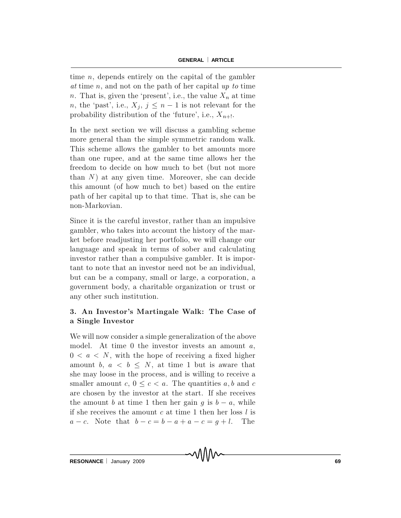time  $n$ , depends entirely on the capital of the gambler at time n, and not on the path of her capital up to time n. That is, given the 'present', i.e., the value  $X_n$  at time n, the 'past', i.e.,  $X_j$ ,  $j \leq n-1$  is not relevant for the probability distribution of the 'future', i.e.,  $X_{n+1}$ .

In the next section we will discuss a gambling scheme more general than the simple symmetric random walk. This scheme allows the gambler to bet amounts more than one rupee, and at the same time allows her the freedom to decide on how much to bet (but not more than  $N$ ) at any given time. Moreover, she can decide this amount (of how much to bet) based on the entire path of her capital up to that time. That is, she can be non-Markovian.

Since it is the careful investor, rather than an impulsive gambler, who takes into account the history of the market before readjusting her portfolio, we will change our language and speak in terms of sober and calculating investor rather than a compulsive gambler. It is important to note that an investor need not be an individual, but can be a company, small or large, a corporation, a governm ent b ody, a charitable organization or trust or any other such institution.

# 3. An Investor's Martingale Walk: The Case of a Single Investor

We will now consider a simple generalization of the above model. At time 0 the investor invests an amount  $a$ ,  $0 < a < N$ , with the hope of receiving a fixed higher amount b,  $a < b \leq N$ , at time 1 but is aware that she may loose in the process, and is willing to receive a smaller amount c,  $0 \leq c < a$ . The quantities a, b and c are chosen by the investor at the start. If she receives the amount b at time 1 then her gain g is  $b - a$ , while if she receives the amount c at time 1 then her loss  $l$  is  $a - c$ . Note that  $b - c = b - a + a - c = g + l$ . The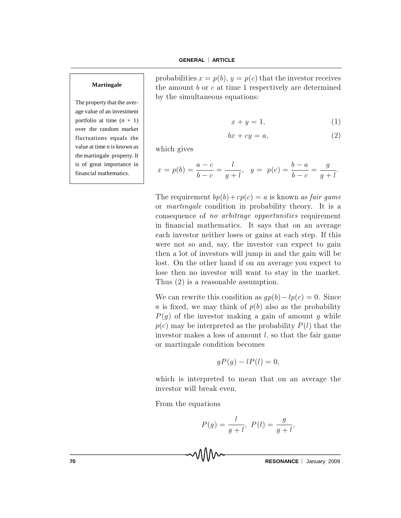#### **Martingale**

The property that the average value of an investment portfolio at time  $(n + 1)$ over the random market fluctuations equals the value at time *n* is known as the martingale property. It is of great importance in financial mathematics.

probabilities  $x = p(b)$ ,  $y = p(c)$  that the investor receives the amount  $b$  or  $c$  at time 1 respectively are determined by the simultaneous equations:

$$
x + y = 1,\t\t(1)
$$

$$
bx + cy = a,\t\t(2)
$$

which gives

$$
x = p(b) = \frac{a-c}{b-c} = \frac{l}{g+l}, \quad y = p(c) = \frac{b-a}{b-c} = \frac{g}{g+l}.
$$

The requirement  $bp(b) + cp(c) = a$  is known as *fair game* or *martingale* condition in probability theory. It is a consequence of no arbitrage opportunities requirement in financial mathematics. It says that on an average each investor neither loses or gains at each step. If this were not so and, say, the investor can expect to gain then a lot of investors will jump in and the gain will be lost. On the other hand if on an average you expect to lose then no investor will want to stay in the market. Thus  $(2)$  is a reasonable assumption.

We can rewrite this condition as  $gp(b) - lp(c) = 0$ . Since a is fixed, we may think of  $p(b)$  also as the probability  $P(g)$  of the investor making a gain of amount g while  $p(c)$  may be interpreted as the probability  $P(l)$  that the investor makes a loss of amount  $l$ , so that the fair game or martingale condition becomes

$$
gP(g) - lP(l) = 0,
$$

which is interpreted to mean that on an average the investor will break even.

From the equations

$$
P(g) = \frac{l}{g+l}, \ P(l) = \frac{g}{g+l},
$$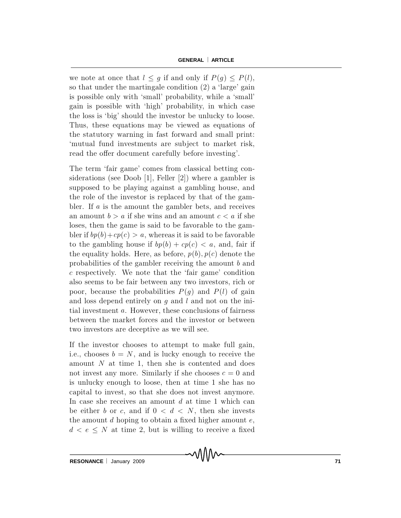we note at once that  $l \leq g$  if and only if  $P(g) \leq P(l)$ , so that under the martingale condition  $(2)$  a 'large' gain is possible only with 'small' probability, while a 'small' gain is possible with 'high' probability, in which case the loss is `big' should the investor be unlucky to loose. Thus, these equations may be viewed as equations of the statutory warning in fast forward and small print: `m utual fund investm ents are sub ject to m arket risk, read the offer document carefully before investing'.

The term 'fair game' comes from classical betting considerations (see Doob [1], Feller  $[2]$ ) where a gambler is supposed to be playing against a gambling house, and the role of the investor is replaced by that of the gambler. If  $a$  is the amount the gambler bets, and receives an amount  $b > a$  if she wins and an amount  $c < a$  if she loses, then the game is said to be favorable to the gambler if  $bp(b) + cp(c) > a$ , whereas it is said to be favorable to the gambling house if  $bp(b) + cp(c) < a$ , and, fair if the equality holds. Here, as before,  $p(b), p(c)$  denote the probabilities of the gambler receiving the amount b and c respectively. We note that the 'fair game' condition also seems to be fair between any two investors, rich or poor, because the probabilities  $P(g)$  and  $P(l)$  of gain and loss depend entirely on  $g$  and  $l$  and not on the initial investment  $a$ . However, these conclusions of fairness between the market forces and the investor or between two investors are deceptive as we will see.

If the investor chooses to attempt to make full gain, i.e., chooses  $b = N$ , and is lucky enough to receive the amount N at time 1, then she is contented and does not invest any more. Similarly if she chooses  $c = 0$  and is unlucky enough to loose, then at time 1 she has no capital to invest, so that she does not invest anymore. In case she receives an amount  $d$  at time 1 which can be either b or c, and if  $0 < d < N$ , then she invests the amount  $d$  hoping to obtain a fixed higher amount  $e$ ,  $d < e \leq N$  at time 2, but is willing to receive a fixed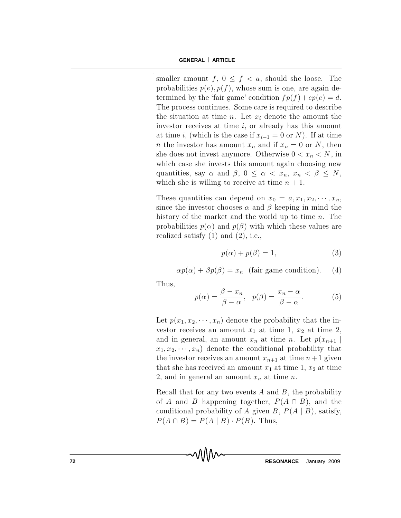smaller amount f,  $0 \leq f \leq a$ , should she loose. The probabilities  $p(e), p(f)$ , whose sum is one, are again determined by the 'fair game' condition  $fp(f) + ep(e) = d$ . The process continues. Some care is required to describe the situation at time n. Let  $x_i$  denote the amount the investor receives at time  $i$ , or already has this amount at time i, (which is the case if  $x_{i-1} = 0$  or N). If at time *n* the investor has amount  $x_n$  and if  $x_n = 0$  or N, then she does not invest anymore. Otherwise  $0 < x_n < N$ , in which case she invests this amount again choosing new quantities, say  $\alpha$  and  $\beta$ ,  $0 \leq \alpha < x_n$ ,  $x_n < \beta \leq N$ , which she is willing to receive at time  $n + 1$ .

These quantities can depend on  $x_0 = a, x_1, x_2, \cdots, x_n$ , since the investor chooses  $\alpha$  and  $\beta$  keeping in mind the history of the market and the world up to time  $n$ . The probabilities  $p(\alpha)$  and  $p(\beta)$  with which these values are realized satisfy  $(1)$  and  $(2)$ , i.e.,

$$
p(\alpha) + p(\beta) = 1,\t\t(3)
$$

$$
\alpha p(\alpha) + \beta p(\beta) = x_n \text{ (fair game condition)}.
$$
 (4)

Thus,

$$
p(\alpha) = \frac{\beta - x_n}{\beta - \alpha}, \quad p(\beta) = \frac{x_n - \alpha}{\beta - \alpha}.
$$
 (5)

Let  $p(x_1, x_2, \dots, x_n)$  denote the probability that the investor receives an amount  $x_1$  at time 1,  $x_2$  at time 2, and in general, an amount  $x_n$  at time n. Let  $p(x_{n+1} |$  $x_1, x_2, \dots, x_n$  denote the conditional probability that the investor receives an amount  $x_{n+1}$  at time  $n+1$  given that she has received an amount  $x_1$  at time 1,  $x_2$  at time 2, and in general an amount  $x_n$  at time n.

Recall that for any two events  $A$  and  $B$ , the probability of A and B happening together,  $P(A \cap B)$ , and the conditional probability of A given B,  $P(A | B)$ , satisfy,  $P(A \cap B) = P(A \mid B) \cdot P(B)$ . Thus,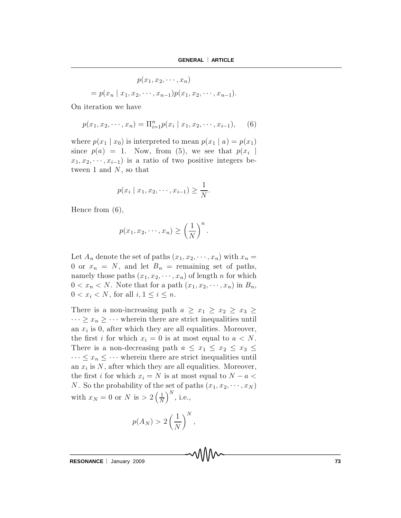$$
p(x_1, x_2, \cdots, x_n)
$$
  
=  $p(x_n | x_1, x_2, \cdots, x_{n-1}) p(x_1, x_2, \cdots, x_{n-1}).$ 

On iteration we have

$$
p(x_1, x_2, \cdots, x_n) = \Pi_{i=1}^n p(x_i \mid x_1, x_2, \cdots, x_{i-1}), \quad (6)
$$

where  $p(x_1 | x_0)$  is interpreted to mean  $p(x_1 | a) = p(x_1)$ since  $p(a) = 1$ . Now, from (5), we see that  $p(x_i)$  $x_1, x_2, \dots, x_{i-1}$  is a ratio of two positive integers between 1 and  $N$ , so that

$$
p(x_i | x_1, x_2, \cdots, x_{i-1}) \geq \frac{1}{N}.
$$

Hence from  $(6)$ ,

$$
p(x_1, x_2, \cdots, x_n) \ge \left(\frac{1}{N}\right)^n.
$$

Let  $A_n$  denote the set of paths  $(x_1, x_2, \dots, x_n)$  with  $x_n =$ 0 or  $x_n = N$ , and let  $B_n$  = remaining set of paths, namely those paths  $(x_1, x_2, \dots, x_n)$  of length n for which  $0 < x_n < N$ . Note that for a path  $(x_1, x_2, \dots, x_n)$  in  $B_n$ ,  $0 < x_i < N$ , for all  $i, 1 \leq i \leq n$ .

There is a non-increasing path  $a \geq x_1 \geq x_2 \geq x_3 \geq x_4$  $\cdots \geq x_n \geq \cdots$  wherein there are strict inequalities until an  $x_i$  is 0, after which they are all equalities. Moreover, the first i for which  $x_i = 0$  is at most equal to  $a < N$ . There is a non-decreasing path  $a \leq x_1 \leq x_2 \leq x_3 \leq x_4$  $\cdots \leq x_n \leq \cdots$  wherein there are strict inequalities until an  $x_i$  is N, after which they are all equalities. Moreover, the first i for which  $x_i = N$  is at most equal to  $N - a <$ N. So the probability of the set of paths  $(x_1, x_2, \dots, x_N)$ with  $x_N = 0$  or N is  $> 2\left(\frac{1}{N}\right)$ N  $\big)^N$ , i.e.,

$$
p(A_N) > 2\left(\frac{1}{N}\right)^N,
$$

**RESONANCE** | January 2009 **73**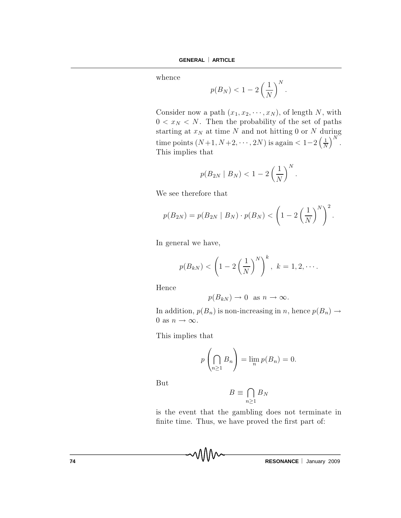whence

$$
p(B_N) < 1 - 2\left(\frac{1}{N}\right)^N.
$$

Consider now a path  $(x_1, x_2, \dots, x_N)$ , of length N, with  $0 < x<sub>N</sub> < N$ . Then the probability of the set of paths starting at  $x_N$  at time N and not hitting 0 or N during time points  $(N+1, N+2, \cdots, 2N)$  is again  $< 1-2 \left(\frac{1}{N}\right)$ N  $\big)^N$  . This implies that

$$
p(B_{2N} \mid B_N) < 1 - 2\left(\frac{1}{N}\right)^N.
$$

We see therefore that

$$
p(B_{2N}) = p(B_{2N} | B_N) \cdot p(B_N) < (1 - 2 \left(\frac{1}{N}\right)^N)^2.
$$

In general we have,

$$
p(B_{kN}) < \left(1-2\left(\frac{1}{N}\right)^N\right)^k, \ k=1,2,\cdots.
$$

Hence

$$
p(B_{kN}) \to 0
$$
 as  $n \to \infty$ .

In addition,  $p(B_n)$  is non-increasing in n, hence  $p(B_n) \rightarrow$ 0 as  $n \to \infty$ .

This implies that

$$
p\left(\bigcap_{n\geq 1} B_n\right) = \lim_{n} p(B_n) = 0.
$$

**But** 

$$
B\equiv \bigcap_{n\geq 1}B_N
$$

is the event that the gambling does not terminate in finite time. Thus, we have proved the first part of: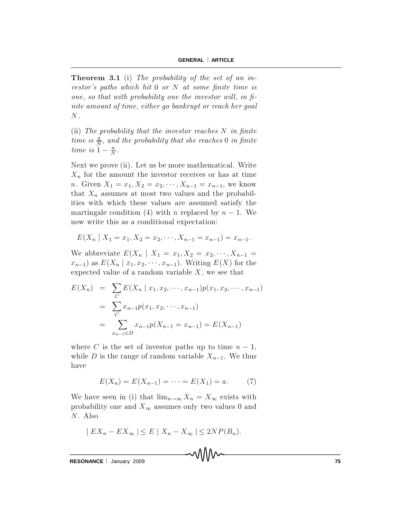**Theorem 3.1** (i) The probability of the set of an investor's paths which hit  $0$  or  $N$  at some finite time is one, so that with probability one the investor will, in  $fi$ nite amount of time, either go bankrupt or reach her goal  $N$  .

(ii) The probability that the investor reaches  $N$  in finite time is  $\frac{a}{\Lambda}$  $\frac{a}{N}$ , and the probability that she reaches 0 in finite time is  $1 - \frac{a}{N}$  $\frac{a}{N}$ .

Next we prove (ii). Let us be more mathematical. Write  $X_n$  for the amount the investor receives or has at time *n*. Given  $X_1 = x_1, X_2 = x_2, \dots, X_{n-1} = x_{n-1}$ , we know that  $X_n$  assumes at most two values and the probabilities with which these values are assumed satisfy the martingale condition (4) with n replaced by  $n-1$ . We now write this as a conditional expectation:

$$
E(X_n | X_1 = x_1, X_2 = x_2, \cdots, X_{n-1} = x_{n-1}) = x_{n-1}.
$$

We abbreviate  $E(X_n | X_1 = x_1, X_2 = x_2, \dots, X_{n-1} =$  $x_{n-1}$  as  $E(X_n | x_1, x_2, \cdots, x_{n-1})$ . Writing  $E(X)$  for the expected value of a random variable  $X$ , we see that

$$
E(X_n) = \sum_{C} E(X_n | x_1, x_2, \cdots, x_{n-1}) p(x_1, x_2, \cdots, x_{n-1})
$$
  
= 
$$
\sum_{C} x_{n-1} p(x_1, x_2, \cdots, x_{n-1})
$$
  
= 
$$
\sum_{x_{n-1} \in D} x_{n-1} p(X_{n-1} = x_{n-1}) = E(X_{n-1})
$$

where C is the set of investor paths up to time  $n-1$ , while D is the range of random variable  $X_{n-1}$ . We thus have

$$
E(X_n) = E(X_{n-1}) = \dots = E(X_1) = a.
$$
 (7)

We have seen in (i) that  $\lim_{n\to\infty} X_n = X_\infty$  exists with probability one and  $X_{\infty}$  assumes only two values 0 and  $N$ . Also

$$
|EX_n - EX_{\infty}| \le E |X_n - X_{\infty}| \le 2NP(B_n).
$$

**RESONANCE** | January 2009 **75**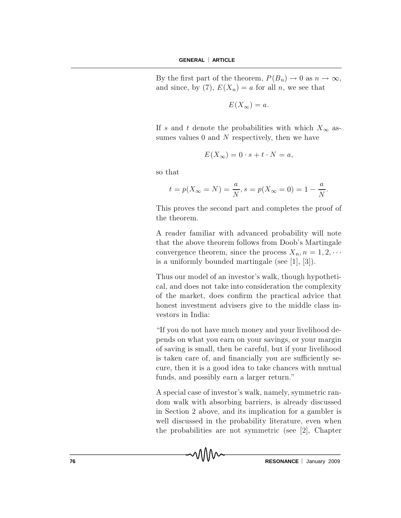By the first part of the theorem,  $P(B_n) \to 0$  as  $n \to \infty$ , and since, by (7),  $E(X_n) = a$  for all n, we see that

$$
E(X_{\infty})=a.
$$

If s and t denote the probabilities with which  $X_{\infty}$  assumes values  $0$  and  $N$  respectively, then we have

$$
E(X_{\infty}) = 0 \cdot s + t \cdot N = a,
$$

so that

$$
t = p(X_{\infty} = N) = \frac{a}{N}, s = p(X_{\infty} = 0) = 1 - \frac{a}{N}.
$$

This proves the second part and completes the proof of the theorem.

A reader familiar with advanced probability will note that the above theorem follows from Doob's Martingale convergence theorem, since the process  $X_n$ ,  $n = 1, 2, \cdots$ is a uniformly bounded martingale (see  $[1], [3]$ ).

Thus our model of an investor's walk, though hypothetical, and does not take into consideration the complexity of the market, does confirm the practical advice that honest investment advisers give to the middle class investors in India:

"If you do not have much money and your livelihood depends on what you earn on your savings, or your margin of saving is small, then be careful, but if your livelihood is taken care of, and financially you are sufficiently secure, then it is a good idea to take chances with mutual funds, and possibly earn a larger return."

A special case of investor's walk, namely, symmetric random walk with absorbing barriers, is already discussed in Section 2 above, and its implication for a gambler is well discussed in the probability literature, even when the probabilities are not symmetric (see  $[2]$ , Chapter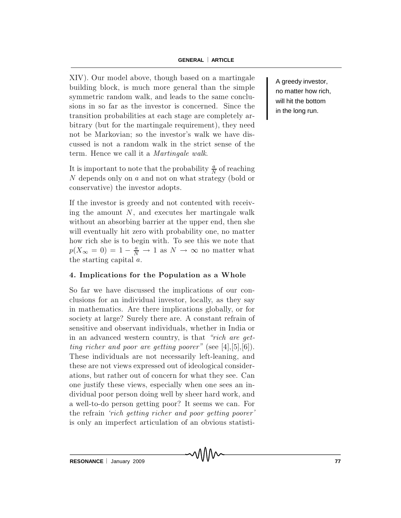XIV). Our model above, though based on a martingale building block, is much more general than the simple symmetric random walk, and leads to the same conclusions in so far as the investor is concerned. Since the transition probabilities at each stage are completely arbitrary (but for the martingale requirement), they need not be Markovian; so the investor's walk we have discussed is not a random walk in the strict sense of the term. Hence we call it a *Martingale walk*.

It is important to note that the probability  $\frac{a}{\lambda}$  $\frac{a}{N}$  of reaching N depends only on a and not on what strategy (bold or conservative) the investor adopts.

If the investor is greedy and not contented with receiving the amount  $N$ , and executes her martingale walk without an absorbing barrier at the upper end, then she will eventually hit zero with probability one, no matter how rich she is to begin with. To see this we note that  $p(X_{\infty} = 0) = 1 - \frac{a}{N}$  $\frac{a}{N} \to 1$  as  $N \to \infty$  no matter what the starting capital a.

# 4. Implications for the Population as a Whole

So far we have discussed the implications of our conclusions for an individual investor, locally, as they say in mathematics. Are there implications globally, or for society at large? Surely there are. A constant refrain of sensitive and observant individuals, whether in India or in an advanced western country, is that "rich are getting richer and poor are getting poorer" (see  $[4], [5], [6]$ ). These individuals are not necessarily left-leaning, and these are not views expressed out of ideological considerations, but rather out of concern for what they see. Can one justify these views, especially when one sees an individual poor person doing well by sheer hard work, and a well-to-do person getting poor? It seems we can. For the refrain *rich getting richer and poor getting poorer* is only an imperfect articulation of an obvious statistiA greedy investor, no matter how rich, will hit the bottom in the long run.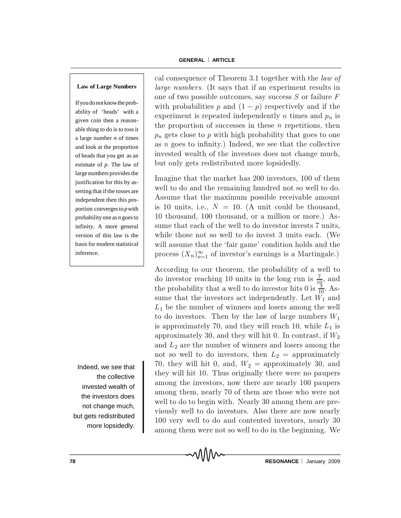### **Law of Large Numbers**

Ifyou donotknowthe probability of 'heads' with a given coin then a reasonable thing to do is to toss it a large number *n* of times and look at the proportion of heads that you get as an estimate of *p*. The law of large numbers provides the justification for this by asserting that if the tosses are independent then this proportion converges to *p*with probability one as *n* goes to infinity. A more general version of this law is the basis for modern statistical inference.

Indeed, we see that the collective invested wealth of the investors does not change much, but gets redistributed more lopsidedly.

cal consequence of Theorem 3.1 together with the *law of* large numbers. (It says that if an experiment results in one of two possible outcomes, say success  $S$  or failure  $F$ with probabilities p and  $(1 - p)$  respectively and if the experiment is repeated independently n times and  $p_n$  is the proportion of successes in these  $n$  repetitions, then  $p_n$  gets close to p with high probability that goes to one as  $n$  goes to infinity.) Indeed, we see that the collective invested wealth of the investors does not change much, but only gets redistributed more lopsidedly.

Imagine that the market has 200 investors, 100 of them well to do and the remaining hundred not so well to do. Assume that the maximum possible receivable amount is 10 units, i.e.,  $N = 10$ . (A unit could be thousand, 10 thousand, 100 thousand, or a million or more.) Assume that each of the well to do investor invests 7 units, while those not so well to do invest 3 units each. (We will assume that the 'fair game' condition holds and the process  $(X_n)_{n=1}^{\infty}$  of investor's earnings is a Martingale.)

According to our theorem, the probability of a well to do investor reaching 10 units in the long run is  $\frac{7}{10}$  $\frac{7}{10}$ , and the probability that a well to do investor hits 0 is  $\frac{3}{10}$  $\frac{3}{10}$ . Assume that the investors act independently. Let  $W_1$  and  $L_1$  be the number of winners and losers among the well to do investors. Then by the law of large numbers  $W_1$ is approximately 70, and they will reach 10, while  $L_1$  is approximately 30, and they will hit 0. In contrast, if  $W_2$ and  $L_2$  are the number of winners and losers among the not so well to do investors, then  $L_2$  = approximately 70, they will hit 0, and,  $W_2$  = approximately 30, and they will hit 10. Thus originally there were no paupers am ong the investors, now there are nearly 100 paupers among them, nearly 70 of them are those who were not well to do to begin with. Nearly 30 among them are previously well to do investors. Also there are now nearly 100 very well to do and contented investors, nearly 30 among them were not so well to do in the beginning. We